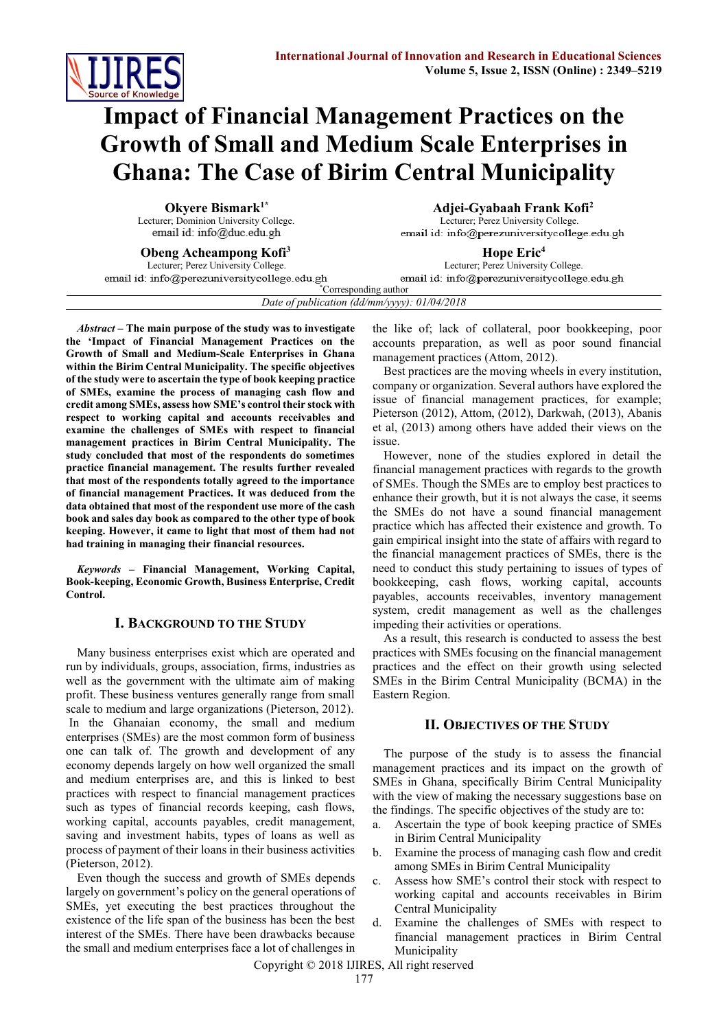

# **Impact of Financial Management Practices on the Growth of Small and Medium Scale Enterprises in Ghana: The Case of Birim Central Municipality**

**Okyere Bismark1\*** Lecturer; Dominion University College. email id: info@duc.edu.gh

**Adjei-Gyabaah Frank Kofi<sup>2</sup>** Lecturer; Perez University College. email id: info@perezuniversitycollege.edu.gh

**Obeng Acheampong Kofi<sup>3</sup>** Lecturer; Perez University College. email id: info@perezuniversitycollege.edu.gh

**Hope Eric<sup>4</sup>** Lecturer; Perez University College. email id: info@perezuniversitycollege.edu.gh

\*Corresponding author *Date of publication (dd/mm/yyyy): 01/04/2018*

*Abstract* **– The main purpose of the study was to investigate the 'Impact of Financial Management Practices on the Growth of Small and Medium-Scale Enterprises in Ghana within the Birim Central Municipality. The specific objectives of the study were to ascertain the type of book keeping practice of SMEs, examine the process of managing cash flow and credit among SMEs, assess how SME's control their stock with respect to working capital and accounts receivables and examine the challenges of SMEs with respect to financial management practices in Birim Central Municipality. The study concluded that most of the respondents do sometimes practice financial management. The results further revealed that most of the respondents totally agreed to the importance of financial management Practices. It was deduced from the data obtained that most of the respondent use more of the cash book and sales day book as compared to the other type of book keeping. However, it came to light that most of them had not had training in managing their financial resources.**

*Keywords* **– Financial Management, Working Capital, Book-keeping, Economic Growth, Business Enterprise, Credit Control.**

# **I. BACKGROUND TO THE STUDY**

Many business enterprises exist which are operated and run by individuals, groups, association, firms, industries as well as the government with the ultimate aim of making profit. These business ventures generally range from small scale to medium and large organizations (Pieterson, 2012). In the Ghanaian economy, the small and medium enterprises (SMEs) are the most common form of business one can talk of. The growth and development of any economy depends largely on how well organized the small and medium enterprises are, and this is linked to best practices with respect to financial management practices such as types of financial records keeping, cash flows, working capital, accounts payables, credit management, saving and investment habits, types of loans as well as process of payment of their loans in their business activities (Pieterson, 2012).

Even though the success and growth of SMEs depends largely on government's policy on the general operations of SMEs, yet executing the best practices throughout the existence of the life span of the business has been the best interest of the SMEs. There have been drawbacks because the small and medium enterprises face a lot of challenges in

the like of; lack of collateral, poor bookkeeping, poor accounts preparation, as well as poor sound financial management practices (Attom, 2012).

Best practices are the moving wheels in every institution, company or organization. Several authors have explored the issue of financial management practices, for example; Pieterson (2012), Attom, (2012), Darkwah, (2013), Abanis et al, (2013) among others have added their views on the issue.

However, none of the studies explored in detail the financial management practices with regards to the growth of SMEs. Though the SMEs are to employ best practices to enhance their growth, but it is not always the case, it seems the SMEs do not have a sound financial management practice which has affected their existence and growth. To gain empirical insight into the state of affairs with regard to the financial management practices of SMEs, there is the need to conduct this study pertaining to issues of types of bookkeeping, cash flows, working capital, accounts payables, accounts receivables, inventory management system, credit management as well as the challenges impeding their activities or operations.

As a result, this research is conducted to assess the best practices with SMEs focusing on the financial management practices and the effect on their growth using selected SMEs in the Birim Central Municipality (BCMA) in the Eastern Region.

# **II. OBJECTIVES OF THE STUDY**

The purpose of the study is to assess the financial management practices and its impact on the growth of SMEs in Ghana, specifically Birim Central Municipality with the view of making the necessary suggestions base on the findings. The specific objectives of the study are to:

- a. Ascertain the type of book keeping practice of SMEs in Birim Central Municipality
- b. Examine the process of managing cash flow and credit among SMEs in Birim Central Municipality
- c. Assess how SME's control their stock with respect to working capital and accounts receivables in Birim Central Municipality
- d. Examine the challenges of SMEs with respect to financial management practices in Birim Central Municipality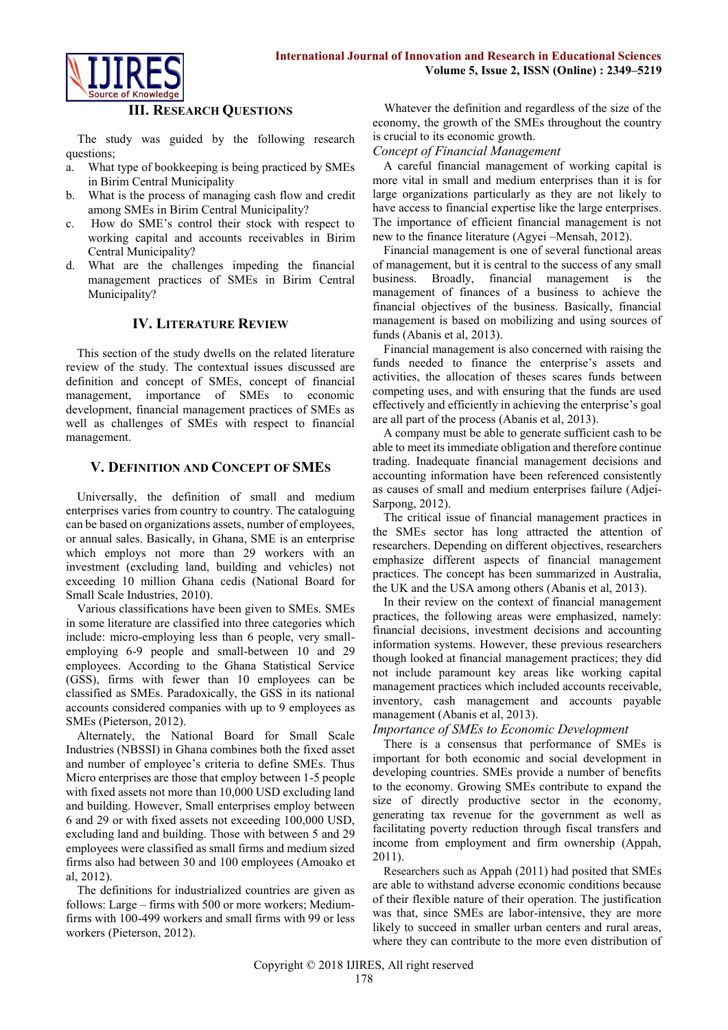

### **III. RESEARCH QUESTIONS**

The study was guided by the following research questions;

- a. What type of bookkeeping is being practiced by SMEs in Birim Central Municipality
- b. What is the process of managing cash flow and credit among SMEs in Birim Central Municipality?
- c. How do SME's control their stock with respect to working capital and accounts receivables in Birim Central Municipality?
- d. What are the challenges impeding the financial management practices of SMEs in Birim Central Municipality?

# **IV. LITERATURE REVIEW**

This section of the study dwells on the related literature review of the study. The contextual issues discussed are definition and concept of SMEs, concept of financial management, importance of SMEs to economic development, financial management practices of SMEs as well as challenges of SMEs with respect to financial management.

## **V. DEFINITION AND CONCEPT OF SMES**

Universally, the definition of small and medium enterprises varies from country to country. The cataloguing can be based on organizations assets, number of employees, or annual sales. Basically, in Ghana, SME is an enterprise which employs not more than 29 workers with an investment (excluding land, building and vehicles) not exceeding 10 million Ghana cedis (National Board for Small Scale Industries, 2010).

Various classifications have been given to SMEs. SMEs in some literature are classified into three categories which include: micro-employing less than 6 people, very smallemploying 6-9 people and small-between 10 and 29 employees. According to the Ghana Statistical Service (GSS), firms with fewer than 10 employees can be classified as SMEs. Paradoxically, the GSS in its national accounts considered companies with up to 9 employees as SMEs (Pieterson, 2012).

Alternately, the National Board for Small Scale Industries (NBSSI) in Ghana combines both the fixed asset and number of employee's criteria to define SMEs. Thus Micro enterprises are those that employ between 1-5 people with fixed assets not more than 10,000 USD excluding land and building. However, Small enterprises employ between 6 and 29 or with fixed assets not exceeding 100,000 USD, excluding land and building. Those with between 5 and 29 employees were classified as small firms and medium sized firms also had between 30 and 100 employees (Amoako et al, 2012).

The definitions for industrialized countries are given as follows: Large – firms with 500 or more workers; Mediumfirms with 100-499 workers and small firms with 99 or less workers (Pieterson, 2012).

Whatever the definition and regardless of the size of the economy, the growth of the SMEs throughout the country is crucial to its economic growth.

### *Concept of Financial Management*

A careful financial management of working capital is more vital in small and medium enterprises than it is for large organizations particularly as they are not likely to have access to financial expertise like the large enterprises. The importance of efficient financial management is not new to the finance literature (Agyei –Mensah, 2012).

Financial management is one of several functional areas of management, but it is central to the success of any small business. Broadly, financial management is the management of finances of a business to achieve the financial objectives of the business. Basically, financial management is based on mobilizing and using sources of funds (Abanis et al, 2013).

Financial management is also concerned with raising the funds needed to finance the enterprise's assets and activities, the allocation of theses scares funds between competing uses, and with ensuring that the funds are used effectively and efficiently in achieving the enterprise's goal are all part of the process (Abanis et al, 2013).

A company must be able to generate sufficient cash to be able to meet its immediate obligation and therefore continue trading. Inadequate financial management decisions and accounting information have been referenced consistently as causes of small and medium enterprises failure (Adjei-Sarpong, 2012).

The critical issue of financial management practices in the SMEs sector has long attracted the attention of researchers. Depending on different objectives, researchers emphasize different aspects of financial management practices. The concept has been summarized in Australia, the UK and the USA among others (Abanis et al, 2013).

In their review on the context of financial management practices, the following areas were emphasized, namely: financial decisions, investment decisions and accounting information systems. However, these previous researchers though looked at financial management practices; they did not include paramount key areas like working capital management practices which included accounts receivable, inventory, cash management and accounts payable management (Abanis et al, 2013).

### *Importance of SMEs to Economic Development*

There is a consensus that performance of SMEs is important for both economic and social development in developing countries. SMEs provide a number of benefits to the economy. Growing SMEs contribute to expand the size of directly productive sector in the economy, generating tax revenue for the government as well as facilitating poverty reduction through fiscal transfers and income from employment and firm ownership (Appah, 2011).

Researchers such as Appah (2011) had posited that SMEs are able to withstand adverse economic conditions because of their flexible nature of their operation. The justification was that, since SMEs are labor-intensive, they are more likely to succeed in smaller urban centers and rural areas, where they can contribute to the more even distribution of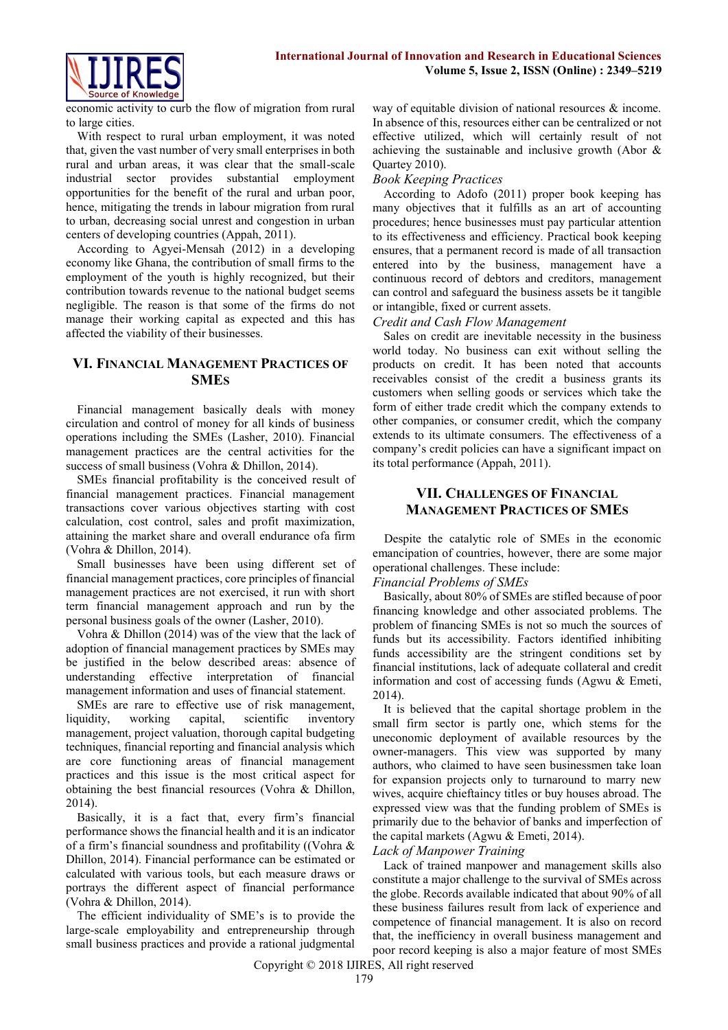

economic activity to curb the flow of migration from rural to large cities.

With respect to rural urban employment, it was noted that, given the vast number of very small enterprises in both rural and urban areas, it was clear that the small-scale industrial sector provides substantial employment opportunities for the benefit of the rural and urban poor, hence, mitigating the trends in labour migration from rural to urban, decreasing social unrest and congestion in urban centers of developing countries (Appah, 2011).

According to Agyei-Mensah (2012) in a developing economy like Ghana, the contribution of small firms to the employment of the youth is highly recognized, but their contribution towards revenue to the national budget seems negligible. The reason is that some of the firms do not manage their working capital as expected and this has affected the viability of their businesses.

# **VI. FINANCIAL MANAGEMENT PRACTICES OF SMES**

Financial management basically deals with money circulation and control of money for all kinds of business operations including the SMEs (Lasher, 2010). Financial management practices are the central activities for the success of small business (Vohra & Dhillon, 2014).

SMEs financial profitability is the conceived result of financial management practices. Financial management transactions cover various objectives starting with cost calculation, cost control, sales and profit maximization, attaining the market share and overall endurance ofa firm (Vohra & Dhillon, 2014).

Small businesses have been using different set of financial management practices, core principles of financial management practices are not exercised, it run with short term financial management approach and run by the personal business goals of the owner (Lasher, 2010).

Vohra & Dhillon (2014) was of the view that the lack of adoption of financial management practices by SMEs may be justified in the below described areas: absence of understanding effective interpretation of financial management information and uses of financial statement.

SMEs are rare to effective use of risk management, liquidity, working capital, scientific inventory management, project valuation, thorough capital budgeting techniques, financial reporting and financial analysis which are core functioning areas of financial management practices and this issue is the most critical aspect for obtaining the best financial resources (Vohra & Dhillon, 2014).

Basically, it is a fact that, every firm's financial performance shows the financial health and it is an indicator of a firm's financial soundness and profitability ((Vohra & Dhillon, 2014). Financial performance can be estimated or calculated with various tools, but each measure draws or portrays the different aspect of financial performance (Vohra & Dhillon, 2014).

The efficient individuality of SME's is to provide the large-scale employability and entrepreneurship through small business practices and provide a rational judgmental

way of equitable division of national resources & income. In absence of this, resources either can be centralized or not effective utilized, which will certainly result of not achieving the sustainable and inclusive growth (Abor & Quartey 2010).

# *Book Keeping Practices*

According to Adofo (2011) proper book keeping has many objectives that it fulfills as an art of accounting procedures; hence businesses must pay particular attention to its effectiveness and efficiency. Practical book keeping ensures, that a permanent record is made of all transaction entered into by the business, management have a continuous record of debtors and creditors, management can control and safeguard the business assets be it tangible or intangible, fixed or current assets.

## *Credit and Cash Flow Management*

Sales on credit are inevitable necessity in the business world today. No business can exit without selling the products on credit. It has been noted that accounts receivables consist of the credit a business grants its customers when selling goods or services which take the form of either trade credit which the company extends to other companies, or consumer credit, which the company extends to its ultimate consumers. The effectiveness of a company's credit policies can have a significant impact on its total performance (Appah, 2011).

# **VII. CHALLENGES OF FINANCIAL MANAGEMENT PRACTICES OF SMES**

Despite the catalytic role of SMEs in the economic emancipation of countries, however, there are some major operational challenges. These include:

### *Financial Problems of SMEs*

Basically, about 80% of SMEs are stifled because of poor financing knowledge and other associated problems. The problem of financing SMEs is not so much the sources of funds but its accessibility. Factors identified inhibiting funds accessibility are the stringent conditions set by financial institutions, lack of adequate collateral and credit information and cost of accessing funds (Agwu & Emeti, 2014).

It is believed that the capital shortage problem in the small firm sector is partly one, which stems for the uneconomic deployment of available resources by the owner-managers. This view was supported by many authors, who claimed to have seen businessmen take loan for expansion projects only to turnaround to marry new wives, acquire chieftaincy titles or buy houses abroad. The expressed view was that the funding problem of SMEs is primarily due to the behavior of banks and imperfection of the capital markets (Agwu & Emeti, 2014).

### *Lack of Manpower Training*

Lack of trained manpower and management skills also constitute a major challenge to the survival of SMEs across the globe. Records available indicated that about 90% of all these business failures result from lack of experience and competence of financial management. It is also on record that, the inefficiency in overall business management and poor record keeping is also a major feature of most SMEs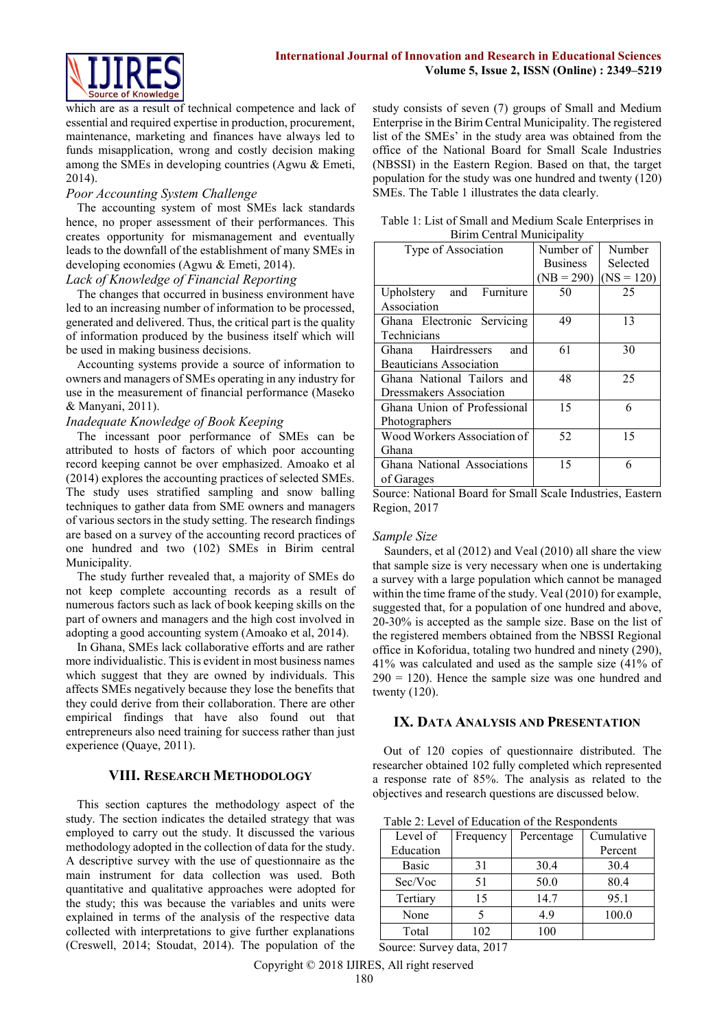

which are as a result of technical competence and lack of essential and required expertise in production, procurement, maintenance, marketing and finances have always led to funds misapplication, wrong and costly decision making among the SMEs in developing countries (Agwu & Emeti, 2014).

### *Poor Accounting System Challenge*

The accounting system of most SMEs lack standards hence, no proper assessment of their performances. This creates opportunity for mismanagement and eventually leads to the downfall of the establishment of many SMEs in developing economies (Agwu & Emeti, 2014).

# *Lack of Knowledge of Financial Reporting*

The changes that occurred in business environment have led to an increasing number of information to be processed, generated and delivered. Thus, the critical part is the quality of information produced by the business itself which will be used in making business decisions.

Accounting systems provide a source of information to owners and managers of SMEs operating in any industry for use in the measurement of financial performance (Maseko & Manyani, 2011).

# *Inadequate Knowledge of Book Keeping*

The incessant poor performance of SMEs can be attributed to hosts of factors of which poor accounting record keeping cannot be over emphasized. Amoako et al (2014) explores the accounting practices of selected SMEs. The study uses stratified sampling and snow balling techniques to gather data from SME owners and managers of various sectors in the study setting. The research findings are based on a survey of the accounting record practices of one hundred and two (102) SMEs in Birim central Municipality.

The study further revealed that, a majority of SMEs do not keep complete accounting records as a result of numerous factors such as lack of book keeping skills on the part of owners and managers and the high cost involved in adopting a good accounting system (Amoako et al, 2014).

In Ghana, SMEs lack collaborative efforts and are rather more individualistic. This is evident in most business names which suggest that they are owned by individuals. This affects SMEs negatively because they lose the benefits that they could derive from their collaboration. There are other empirical findings that have also found out that entrepreneurs also need training for success rather than just experience (Quaye, 2011).

# **VIII. RESEARCH METHODOLOGY**

This section captures the methodology aspect of the study. The section indicates the detailed strategy that was employed to carry out the study. It discussed the various methodology adopted in the collection of data for the study. A descriptive survey with the use of questionnaire as the main instrument for data collection was used. Both quantitative and qualitative approaches were adopted for the study; this was because the variables and units were explained in terms of the analysis of the respective data collected with interpretations to give further explanations (Creswell, 2014; Stoudat, 2014). The population of the study consists of seven (7) groups of Small and Medium Enterprise in the Birim Central Municipality. The registered list of the SMEs' in the study area was obtained from the office of the National Board for Small Scale Industries (NBSSI) in the Eastern Region. Based on that, the target population for the study was one hundred and twenty (120) SMEs. The Table 1 illustrates the data clearly.

| Table 1: List of Small and Medium Scale Enterprises in |  |
|--------------------------------------------------------|--|
| Birim Central Municipality                             |  |

| Type of Association            | Number of       | Number       |
|--------------------------------|-----------------|--------------|
|                                | <b>Business</b> | Selected     |
|                                | $(NB = 290)$    | $(NS = 120)$ |
| Upholstery and Furniture       | 50              | 25           |
| Association                    |                 |              |
| Ghana Electronic Servicing     | 49              | 13           |
| Technicians                    |                 |              |
| Ghana Hairdressers<br>and      | 61              | 30           |
| <b>Beauticians Association</b> |                 |              |
| Ghana National Tailors and     | 48              | 25           |
| Dressmakers Association        |                 |              |
| Ghana Union of Professional    | 15              | 6            |
| Photographers                  |                 |              |
| Wood Workers Association of    | 52              | 15           |
| Ghana                          |                 |              |
| Ghana National Associations    | 15              | 6            |
| of Garages                     |                 |              |

Source: National Board for Small Scale Industries, Eastern Region, 2017

### *Sample Size*

Saunders, et al (2012) and Veal (2010) all share the view that sample size is very necessary when one is undertaking a survey with a large population which cannot be managed within the time frame of the study. Veal (2010) for example, suggested that, for a population of one hundred and above, 20-30% is accepted as the sample size. Base on the list of the registered members obtained from the NBSSI Regional office in Koforidua, totaling two hundred and ninety (290), 41% was calculated and used as the sample size (41% of  $290 = 120$ ). Hence the sample size was one hundred and twenty (120).

### **IX. DATA ANALYSIS AND PRESENTATION**

Out of 120 copies of questionnaire distributed. The researcher obtained 102 fully completed which represented a response rate of 85%. The analysis as related to the objectives and research questions are discussed below.

Table 2: Level of Education of the Respondents

| Level of     | Frequency | Percentage | Cumulative |
|--------------|-----------|------------|------------|
| Education    |           |            | Percent    |
| <b>Basic</b> | 31        | 30.4       | 30.4       |
| Sec/Voc      | 51        | 50.0       | 80.4       |
| Tertiary     | 15        | 14.7       | 95.1       |
| None         |           | 4.9        | 100.0      |
| Total        | 102       | 100        |            |

Source: Survey data, 2017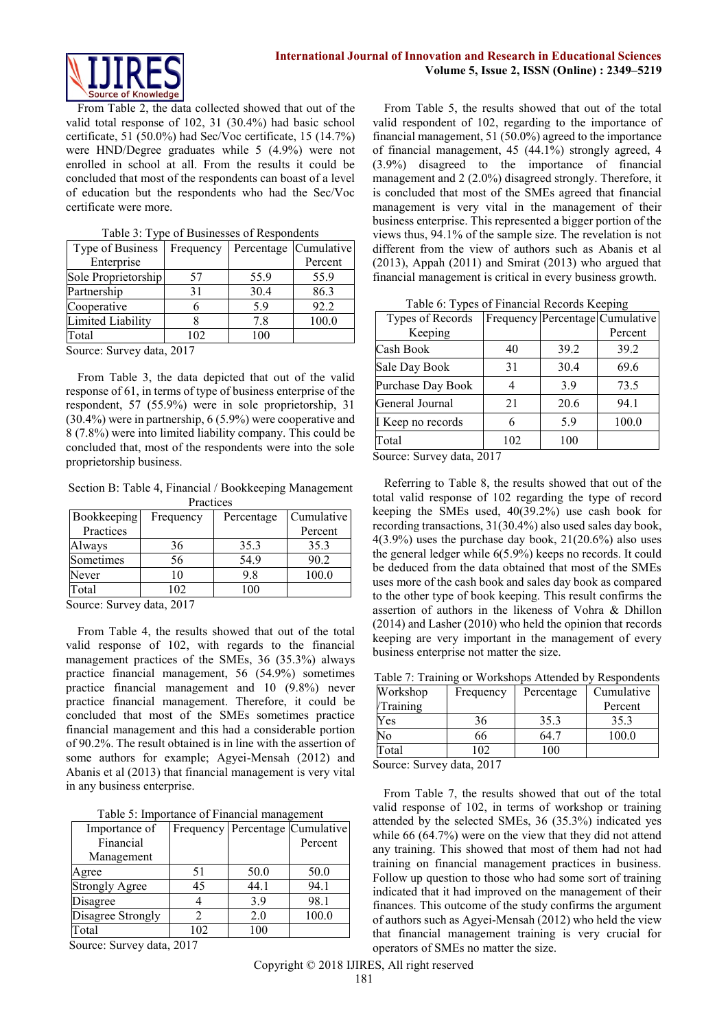

From Table 2, the data collected showed that out of the valid total response of 102, 31 (30.4%) had basic school certificate, 51 (50.0%) had Sec/Voc certificate, 15 (14.7%) were HND/Degree graduates while 5 (4.9%) were not enrolled in school at all. From the results it could be concluded that most of the respondents can boast of a level of education but the respondents who had the Sec/Voc certificate were more.

| Type of Business                                       | Frequency |      | Percentage   Cumulative |  |
|--------------------------------------------------------|-----------|------|-------------------------|--|
| Enterprise                                             |           |      | Percent                 |  |
| Sole Proprietorship                                    | 57        | 55.9 | 55.9                    |  |
| Partnership                                            | 31        | 30.4 | 86.3                    |  |
| Cooperative                                            |           | 5.9  | 92.2                    |  |
| Limited Liability                                      |           | 7.8  | 100.0                   |  |
| Total                                                  | 102       | 100  |                         |  |
| $C_{\text{average}}$ $C_{\text{surface}}$ data $.0017$ |           |      |                         |  |

|  | Table 3: Type of Businesses of Respondents |  |
|--|--------------------------------------------|--|
|  |                                            |  |

Source: Survey data, 2017

From Table 3, the data depicted that out of the valid response of 61, in terms of type of business enterprise of the respondent, 57 (55.9%) were in sole proprietorship, 31 (30.4%) were in partnership, 6 (5.9%) were cooperative and 8 (7.8%) were into limited liability company. This could be concluded that, most of the respondents were into the sole proprietorship business.

Section B: Table 4, Financial / Bookkeeping Management Practices

| <b>Bookkeeping</b>                  | Frequency | Percentage | Cumulative |
|-------------------------------------|-----------|------------|------------|
| Practices                           |           |            | Percent    |
| Always                              | 36        | 35.3       | 35.3       |
| Sometimes                           | 56        | 54.9       | 90.2       |
| Never                               | 10        | 9.8        | 100.0      |
| Total                               | 102       | 100        |            |
| $0, \ldots, 0, \ldots, 1, 1, 0, 17$ |           |            |            |

Source: Survey data, 2017

From Table 4, the results showed that out of the total valid response of 102, with regards to the financial management practices of the SMEs, 36 (35.3%) always practice financial management, 56 (54.9%) sometimes practice financial management and 10 (9.8%) never practice financial management. Therefore, it could be concluded that most of the SMEs sometimes practice financial management and this had a considerable portion of 90.2%. The result obtained is in line with the assertion of some authors for example; Agyei-Mensah (2012) and Abanis et al (2013) that financial management is very vital in any business enterprise.

Table 5: Importance of Financial management

| Importance of         |     |      | Frequency   Percentage   Cumulative |
|-----------------------|-----|------|-------------------------------------|
| Financial             |     |      | Percent                             |
| Management            |     |      |                                     |
| Agree                 | 51  | 50.0 | 50.0                                |
| <b>Strongly Agree</b> | 45  | 44.1 | 94.1                                |
| Disagree              |     | 3.9  | 98.1                                |
| Disagree Strongly     |     | 2.0  | 100.0                               |
| Total                 | 102 | 100  |                                     |

Source: Survey data, 2017

From Table 5, the results showed that out of the total valid respondent of 102, regarding to the importance of financial management, 51 (50.0%) agreed to the importance of financial management, 45 (44.1%) strongly agreed, 4 (3.9%) disagreed to the importance of financial management and 2 (2.0%) disagreed strongly. Therefore, it is concluded that most of the SMEs agreed that financial management is very vital in the management of their business enterprise. This represented a bigger portion of the views thus, 94.1% of the sample size. The revelation is not different from the view of authors such as Abanis et al (2013), Appah (2011) and Smirat (2013) who argued that financial management is critical in every business growth.

Table 6: Types of Financial Records Keeping

| Types of Records  |     |      | Frequency Percentage Cumulative |
|-------------------|-----|------|---------------------------------|
| Keeping           |     |      | Percent                         |
| Cash Book         | 40  | 39.2 | 39.2                            |
| Sale Day Book     | 31  | 30.4 | 69.6                            |
| Purchase Day Book |     | 3.9  | 73.5                            |
| General Journal   | 21  | 20.6 | 94.1                            |
| I Keep no records | 6   | 5.9  | 100.0                           |
| Total             | 102 | 100  |                                 |

Source: Survey data, 2017

Referring to Table 8, the results showed that out of the total valid response of 102 regarding the type of record keeping the SMEs used, 40(39.2%) use cash book for recording transactions, 31(30.4%) also used sales day book, 4(3.9%) uses the purchase day book, 21(20.6%) also uses the general ledger while 6(5.9%) keeps no records. It could be deduced from the data obtained that most of the SMEs uses more of the cash book and sales day book as compared to the other type of book keeping. This result confirms the assertion of authors in the likeness of Vohra & Dhillon (2014) and Lasher (2010) who held the opinion that records keeping are very important in the management of every business enterprise not matter the size.

|  | Table 7: Training or Workshops Attended by Respondents |  |  |
|--|--------------------------------------------------------|--|--|
|--|--------------------------------------------------------|--|--|

| Workshop | Frequency | Percentage   | Cumulative |
|----------|-----------|--------------|------------|
| Training |           |              | Percent    |
| Yes      | 36        | 35.3         | 35.3       |
| No       | 66        | 64.′         | 100.0      |
| Total    | 102       | $00^{\circ}$ |            |

Source: Survey data, 2017

From Table 7, the results showed that out of the total valid response of 102, in terms of workshop or training attended by the selected SMEs, 36 (35.3%) indicated yes while 66 (64.7%) were on the view that they did not attend any training. This showed that most of them had not had training on financial management practices in business. Follow up question to those who had some sort of training indicated that it had improved on the management of their finances. This outcome of the study confirms the argument of authors such as Agyei-Mensah (2012) who held the view that financial management training is very crucial for operators of SMEs no matter the size.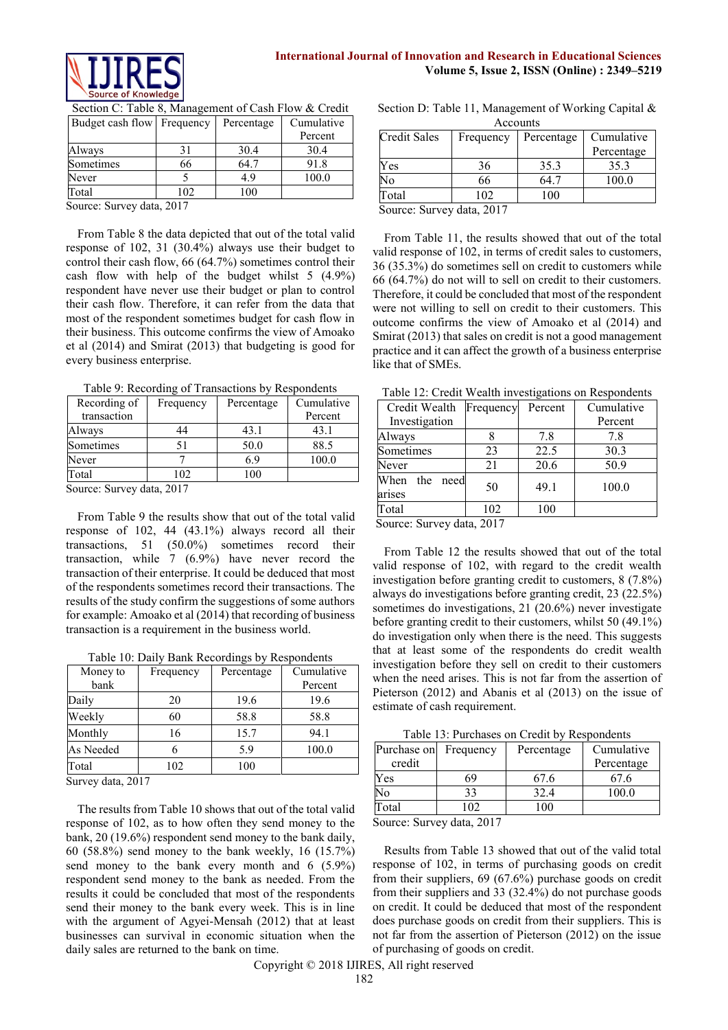

| Budget cash flow Frequency |     | Percentage | Cumulative |
|----------------------------|-----|------------|------------|
|                            |     |            | Percent    |
| Always                     | 31  | 30.4       | 30.4       |
| Sometimes                  | 66  | 64.7       | 91.8       |
| Never                      |     | 4.9        | 100.0      |
| Total                      | 102 | 100        |            |

Section C: Table 8, Management of Cash Flow & Credit

Source: Survey data, 2017

From Table 8 the data depicted that out of the total valid response of 102, 31 (30.4%) always use their budget to control their cash flow, 66 (64.7%) sometimes control their cash flow with help of the budget whilst 5 (4.9%) respondent have never use their budget or plan to control their cash flow. Therefore, it can refer from the data that most of the respondent sometimes budget for cash flow in their business. This outcome confirms the view of Amoako et al (2014) and Smirat (2013) that budgeting is good for every business enterprise.

Table 9: Recording of Transactions by Respondents

| Frequency | Percentage | Cumulative |
|-----------|------------|------------|
|           |            | Percent    |
| 44        | 43.1       | 43.1       |
|           | 50.0       | 88.5       |
|           | 6.9        | 100.0      |
| 102       | 100        |            |
|           |            |            |

Source: Survey data, 2017

From Table 9 the results show that out of the total valid response of 102, 44 (43.1%) always record all their transactions, 51 (50.0%) sometimes record their transaction, while 7 (6.9%) have never record the transaction of their enterprise. It could be deduced that most of the respondents sometimes record their transactions. The results of the study confirm the suggestions of some authors for example: Amoako et al (2014) that recording of business transaction is a requirement in the business world.

Table 10: Daily Bank Recordings by Respondents

| Money to<br>bank | Frequency | Percentage | Cumulative<br>Percent |
|------------------|-----------|------------|-----------------------|
| Daily            | 20        | 19.6       | 19.6                  |
| Weekly           | 60        | 58.8       | 58.8                  |
| Monthly          | 16        | 15.7       | 94.1                  |
| As Needed        |           | 5.9        | 100.0                 |
| Total            | 102       | 100        |                       |

Survey data, 2017

The results from Table 10 shows that out of the total valid response of 102, as to how often they send money to the bank, 20 (19.6%) respondent send money to the bank daily, 60 (58.8%) send money to the bank weekly, 16 (15.7%) send money to the bank every month and 6 (5.9%) respondent send money to the bank as needed. From the results it could be concluded that most of the respondents send their money to the bank every week. This is in line with the argument of Agyei-Mensah (2012) that at least businesses can survival in economic situation when the daily sales are returned to the bank on time.

Section D: Table 11, Management of Working Capital & Accounts

| <b>Credit Sales</b> | Frequency       | Percentage   | Cumulative |
|---------------------|-----------------|--------------|------------|
|                     |                 |              | Percentage |
| Yes                 | 36              | 35.3         | 35.3       |
| No                  | 66              | 64 ′         | 100.0      |
| Total               | $\overline{02}$ | $00^{\circ}$ |            |

Source: Survey data, 2017

From Table 11, the results showed that out of the total valid response of 102, in terms of credit sales to customers, 36 (35.3%) do sometimes sell on credit to customers while 66 (64.7%) do not will to sell on credit to their customers. Therefore, it could be concluded that most of the respondent were not willing to sell on credit to their customers. This outcome confirms the view of Amoako et al (2014) and Smirat (2013) that sales on credit is not a good management practice and it can affect the growth of a business enterprise like that of SMEs.

Table 12: Credit Wealth investigations on Respondents

| Credit Wealth                 | Frequency | Percent | Cumulative |
|-------------------------------|-----------|---------|------------|
| Investigation                 |           |         | Percent    |
| Always                        |           | 7.8     | 7.8        |
| Sometimes                     | 23        | 22.5    | 30.3       |
| Never                         | 21        | 20.6    | 50.9       |
| need<br>When<br>the<br>arises | 50        | 49.1    | 100.0      |
| Total                         | 102       | 100     |            |

Source: Survey data, 2017

From Table 12 the results showed that out of the total valid response of 102, with regard to the credit wealth investigation before granting credit to customers, 8 (7.8%) always do investigations before granting credit, 23 (22.5%) sometimes do investigations, 21 (20.6%) never investigate before granting credit to their customers, whilst 50 (49.1%) do investigation only when there is the need. This suggests that at least some of the respondents do credit wealth investigation before they sell on credit to their customers when the need arises. This is not far from the assertion of Pieterson (2012) and Abanis et al (2013) on the issue of estimate of cash requirement.

Table 13: Purchases on Credit by Respondents

| Purchase on                                                                      | Frequency | Percentage | Cumulative |
|----------------------------------------------------------------------------------|-----------|------------|------------|
| credit                                                                           |           |            | Percentage |
| Yes                                                                              | 69        | 67.6       | 67.6       |
| No                                                                               | 33        | 32.4       | 100.0      |
| Total                                                                            | 102       | 100        |            |
| $C_{\text{out}}$ $C_{\text{out}}$ $\lambda_{\text{tot}}$ $\gamma$ $\Lambda$ $17$ |           |            |            |

Source: Survey data, 2017

Results from Table 13 showed that out of the valid total response of 102, in terms of purchasing goods on credit from their suppliers, 69 (67.6%) purchase goods on credit from their suppliers and 33 (32.4%) do not purchase goods on credit. It could be deduced that most of the respondent does purchase goods on credit from their suppliers. This is not far from the assertion of Pieterson (2012) on the issue of purchasing of goods on credit.

Copyright © 2018 IJIRES, All right reserved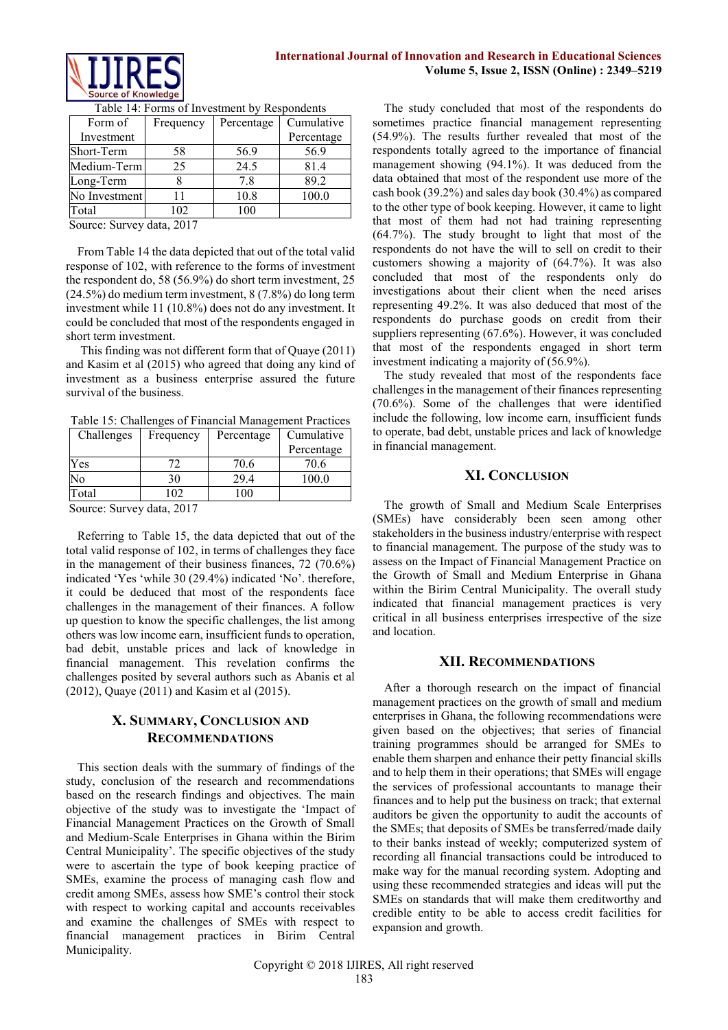

| Form of       | Frequency | Percentage | Cumulative |
|---------------|-----------|------------|------------|
| Investment    |           |            | Percentage |
| Short-Term    | 58        | 56.9       | 56.9       |
| Medium-Term   | 25        | 24.5       | 81.4       |
| Long-Term     |           | 7.8        | 89.2       |
| No Investment | 11        | 10.8       | 100.0      |
| Fotal         | 102       | 100        |            |

Table 14: Forms of Investment by Respondents

Source: Survey data, 2017

From Table 14 the data depicted that out of the total valid response of 102, with reference to the forms of investment the respondent do, 58 (56.9%) do short term investment, 25 (24.5%) do medium term investment, 8 (7.8%) do long term investment while 11 (10.8%) does not do any investment. It could be concluded that most of the respondents engaged in short term investment.

This finding was not different form that of Quaye (2011) and Kasim et al (2015) who agreed that doing any kind of investment as a business enterprise assured the future survival of the business.

Table 15: Challenges of Financial Management Practices

| Challenges | Frequency | Percentage | Cumulative |
|------------|-----------|------------|------------|
|            |           |            | Percentage |
| Y es       | 72        | 70.6       | 70.6       |
| No         | 30        | 29.4       | 100.0      |
| Total      | በጋ        | 100        |            |

Source: Survey data, 2017

Referring to Table 15, the data depicted that out of the total valid response of 102, in terms of challenges they face in the management of their business finances, 72 (70.6%) indicated 'Yes 'while 30 (29.4%) indicated 'No'. therefore, it could be deduced that most of the respondents face challenges in the management of their finances. A follow up question to know the specific challenges, the list among others was low income earn, insufficient funds to operation, bad debit, unstable prices and lack of knowledge in financial management. This revelation confirms the challenges posited by several authors such as Abanis et al (2012), Quaye (2011) and Kasim et al (2015).

# **X. SUMMARY, CONCLUSION AND RECOMMENDATIONS**

This section deals with the summary of findings of the study, conclusion of the research and recommendations based on the research findings and objectives. The main objective of the study was to investigate the 'Impact of Financial Management Practices on the Growth of Small and Medium-Scale Enterprises in Ghana within the Birim Central Municipality'. The specific objectives of the study were to ascertain the type of book keeping practice of SMEs, examine the process of managing cash flow and credit among SMEs, assess how SME's control their stock with respect to working capital and accounts receivables and examine the challenges of SMEs with respect to financial management practices in Birim Central Municipality.

The study concluded that most of the respondents do sometimes practice financial management representing (54.9%). The results further revealed that most of the respondents totally agreed to the importance of financial management showing (94.1%). It was deduced from the data obtained that most of the respondent use more of the cash book (39.2%) and sales day book (30.4%) as compared to the other type of book keeping. However, it came to light that most of them had not had training representing (64.7%). The study brought to light that most of the respondents do not have the will to sell on credit to their customers showing a majority of (64.7%). It was also concluded that most of the respondents only do investigations about their client when the need arises representing 49.2%. It was also deduced that most of the respondents do purchase goods on credit from their suppliers representing (67.6%). However, it was concluded that most of the respondents engaged in short term investment indicating a majority of (56.9%).

The study revealed that most of the respondents face challenges in the management of their finances representing (70.6%). Some of the challenges that were identified include the following, low income earn, insufficient funds to operate, bad debt, unstable prices and lack of knowledge in financial management.

## **XI. CONCLUSION**

The growth of Small and Medium Scale Enterprises (SMEs) have considerably been seen among other stakeholders in the businessindustry/enterprise with respect to financial management. The purpose of the study was to assess on the Impact of Financial Management Practice on the Growth of Small and Medium Enterprise in Ghana within the Birim Central Municipality. The overall study indicated that financial management practices is very critical in all business enterprises irrespective of the size and location.

# **XII. RECOMMENDATIONS**

After a thorough research on the impact of financial management practices on the growth of small and medium enterprises in Ghana, the following recommendations were given based on the objectives; that series of financial training programmes should be arranged for SMEs to enable them sharpen and enhance their petty financial skills and to help them in their operations; that SMEs will engage the services of professional accountants to manage their finances and to help put the business on track; that external auditors be given the opportunity to audit the accounts of the SMEs; that deposits of SMEs be transferred/made daily to their banks instead of weekly; computerized system of recording all financial transactions could be introduced to make way for the manual recording system. Adopting and using these recommended strategies and ideas will put the SMEs on standards that will make them creditworthy and credible entity to be able to access credit facilities for expansion and growth.